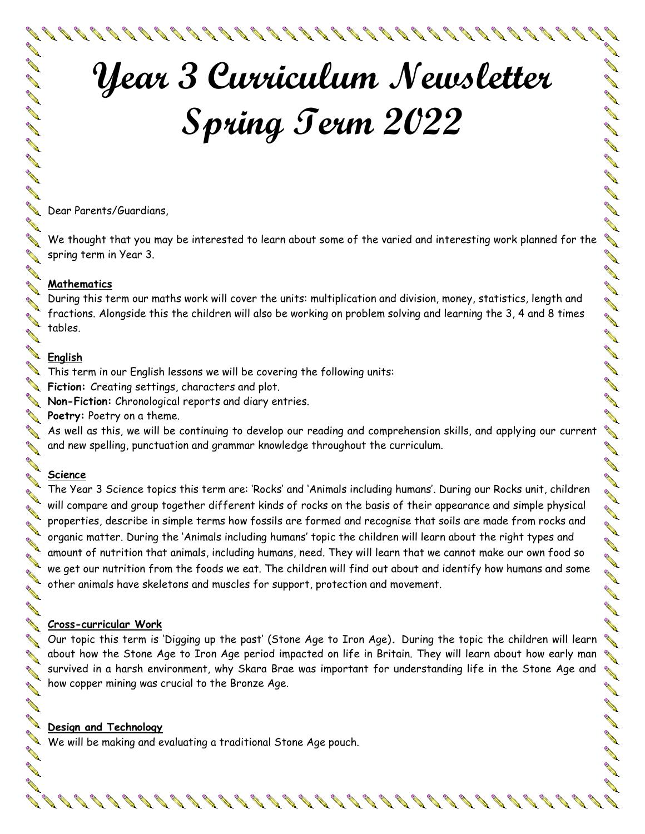

# **Year 3 Curriculum Newsletter Spring Term 2022**

Dear Parents/Guardians,

We thought that you may be interested to learn about some of the varied and interesting work planned for the spring term in Year 3.

### **Mathematics**

During this term our maths work will cover the units: multiplication and division, money, statistics, length and fractions. Alongside this the children will also be working on problem solving and learning the 3, 4 and 8 times tables.

### **English**

DE SA SA SA SA SA

**ANTI** 

**Contract Contract Contract Contract Contract Contract Contract Contract Contract Contract Contract Contract Contract Contract Contract Contract Contract Contract Contract Contract Contract Contract Contract Contract Contr** 

**RANT** 

**AVER** 

**Contract Contract Contract Contract Contract Contract Contract Contract Contract Contract Contract Contract Contract Contract Contract Contract Contract Contract Contract Contract Contract Contract Contract Contract Contr** 

**ANTI** 

**ALL Contract Contract Contract Contract Contract Contract Contract Contract Contract Contract Contract Contract Contract Contract Contract Contract Contract Contract Contract Contract Contract Contract Contract Contract Contr** 

**Contract Contract Contract Contract Contract Contract Contract Contract Contract Contract Contract Contract Contract Contract Contract Contract Contract Contract Contract Contract Contract Contract Contract Contract Contr** 

**RANCISCO** 

**ANTI** 

**ANTI** 

**ANTI** 

 $\blacktriangleright$  This term in our English lessons we will be covering the following units:

**Fiction:** Creating settings, characters and plot.

**Non-Fiction:** Chronological reports and diary entries.

**Poetry:** Poetry on a theme.

As well as this, we will be continuing to develop our reading and comprehension skills, and applying our current and new spelling, punctuation and grammar knowledge throughout the curriculum.

### **Science**

The Year 3 Science topics this term are: 'Rocks' and 'Animals including humans'. During our Rocks unit, children will compare and group together different kinds of rocks on the basis of their appearance and simple physical properties, describe in simple terms how fossils are formed and recognise that soils are made from rocks and organic matter. During the 'Animals including humans' topic the children will learn about the right types and amount of nutrition that animals, including humans, need. They will learn that we cannot make our own food so we get our nutrition from the foods we eat. The children will find out about and identify how humans and some other animals have skeletons and muscles for support, protection and movement.

### **Cross-curricular Work**

Our topic this term is 'Digging up the past' (Stone Age to Iron Age)**.** During the topic the children will learn about how the Stone Age to Iron Age period impacted on life in Britain. They will learn about how early man survived in a harsh environment, why Skara Brae was important for understanding life in the Stone Age and how copper mining was crucial to the Bronze Age.

88888888888888888888888

### **Design and Technology**

We will be making and evaluating a traditional Stone Age pouch.